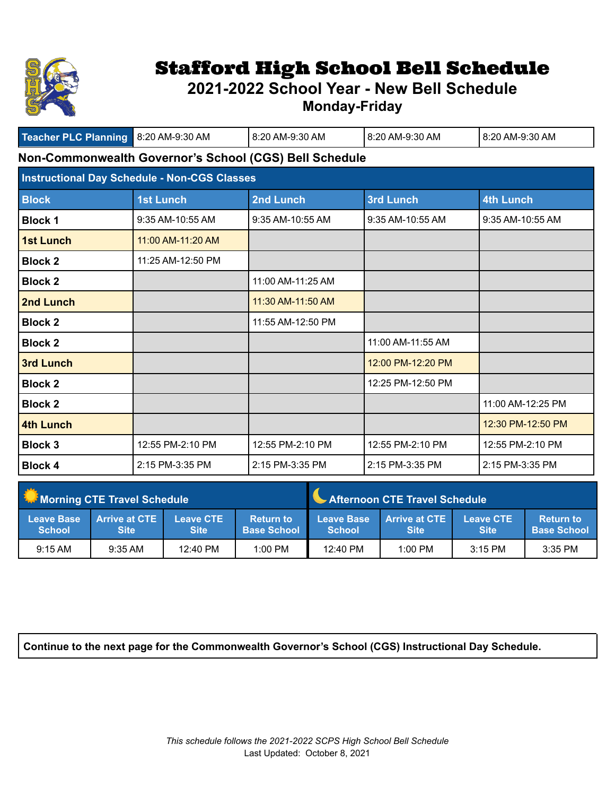

## Stafford High School Bell Schedule

## **2021-2022 School Year - New Bell Schedule**

**Monday-Friday**

| Teacher PLC Planning 8:20 AM-9:30 AM                   |                                                     | 8:20 AM-9:30 AM   | 8:20 AM-9:30 AM   | 8:20 AM-9:30 AM   |  |
|--------------------------------------------------------|-----------------------------------------------------|-------------------|-------------------|-------------------|--|
| Non-Commonwealth Governor's School (CGS) Bell Schedule |                                                     |                   |                   |                   |  |
|                                                        | <b>Instructional Day Schedule - Non-CGS Classes</b> |                   |                   |                   |  |
| <b>Block</b>                                           | <b>1st Lunch</b>                                    | 2nd Lunch         | 3rd Lunch         | 4th Lunch         |  |
| <b>Block 1</b>                                         | 9:35 AM-10:55 AM                                    | 9:35 AM-10:55 AM  | 9:35 AM-10:55 AM  | 9:35 AM-10:55 AM  |  |
| <b>1st Lunch</b>                                       | 11:00 AM-11:20 AM                                   |                   |                   |                   |  |
| <b>Block 2</b>                                         | 11:25 AM-12:50 PM                                   |                   |                   |                   |  |
| <b>Block 2</b>                                         |                                                     | 11:00 AM-11:25 AM |                   |                   |  |
| 2nd Lunch                                              |                                                     | 11:30 AM-11:50 AM |                   |                   |  |
| <b>Block 2</b>                                         |                                                     | 11:55 AM-12:50 PM |                   |                   |  |
| <b>Block 2</b>                                         |                                                     |                   | 11:00 AM-11:55 AM |                   |  |
| <b>3rd Lunch</b>                                       |                                                     |                   | 12:00 PM-12:20 PM |                   |  |
| <b>Block 2</b>                                         |                                                     |                   | 12:25 PM-12:50 PM |                   |  |
| <b>Block 2</b>                                         |                                                     |                   |                   | 11:00 AM-12:25 PM |  |
| 4th Lunch                                              |                                                     |                   |                   | 12:30 PM-12:50 PM |  |
| <b>Block 3</b>                                         | 12:55 PM-2:10 PM                                    | 12:55 PM-2:10 PM  | 12:55 PM-2:10 PM  | 12:55 PM-2:10 PM  |  |
| <b>Block 4</b>                                         | 2:15 PM-3:35 PM                                     | 2:15 PM-3:35 PM   | 2:15 PM-3:35 PM   | 2:15 PM-3:35 PM   |  |

| <b>Morning CTE Travel Schedule</b> |                                       |                                 | Afternoon CTE Travel Schedule          |                                    |                                     |                                 |                                        |
|------------------------------------|---------------------------------------|---------------------------------|----------------------------------------|------------------------------------|-------------------------------------|---------------------------------|----------------------------------------|
| <b>Leave Base</b><br><b>School</b> | <b>Arrive at CTE \</b><br><b>Site</b> | <b>Leave CTE</b><br><b>Site</b> | <b>Return to</b><br><b>Base School</b> | <b>Leave Base</b><br><b>School</b> | <b>Arrive at CTE</b><br><b>Site</b> | <b>Leave CTE</b><br><b>Site</b> | <b>Return to</b><br><b>Base School</b> |
| $9:15$ AM                          | $9:35$ AM                             | $12:40 \text{ PM}$              | $1:00$ PM                              | $12:40 \text{ PM}$                 | $1:00$ PM                           | $3:15$ PM                       | $3:35$ PM                              |

**Continue to the next page for the Commonwealth Governor's School (CGS) Instructional Day Schedule.**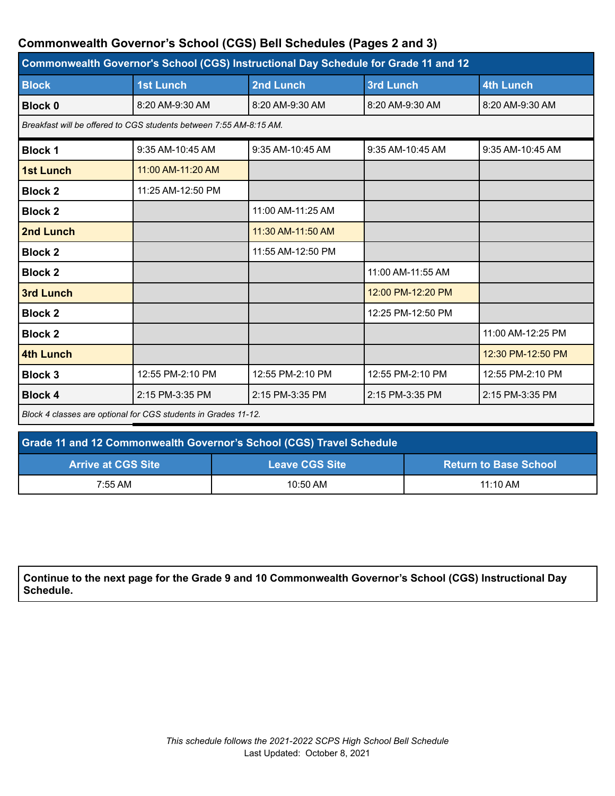## **Commonwealth Governor's School (CGS) Bell Schedules (Pages 2 and 3)**

| Commonwealth Governor's School (CGS) Instructional Day Schedule for Grade 11 and 12 |                                                                    |                   |                   |                   |  |
|-------------------------------------------------------------------------------------|--------------------------------------------------------------------|-------------------|-------------------|-------------------|--|
| <b>Block</b>                                                                        | <b>1st Lunch</b>                                                   | 2nd Lunch         | <b>3rd Lunch</b>  | <b>4th Lunch</b>  |  |
| <b>Block 0</b>                                                                      | 8:20 AM-9:30 AM                                                    | 8:20 AM-9:30 AM   | 8:20 AM-9:30 AM   | 8:20 AM-9:30 AM   |  |
|                                                                                     | Breakfast will be offered to CGS students between 7:55 AM-8:15 AM. |                   |                   |                   |  |
| <b>Block 1</b>                                                                      | 9:35 AM-10:45 AM                                                   | 9:35 AM-10:45 AM  | 9:35 AM-10:45 AM  | 9:35 AM-10:45 AM  |  |
| <b>1st Lunch</b>                                                                    | 11:00 AM-11:20 AM                                                  |                   |                   |                   |  |
| <b>Block 2</b>                                                                      | 11:25 AM-12:50 PM                                                  |                   |                   |                   |  |
| <b>Block 2</b>                                                                      |                                                                    | 11:00 AM-11:25 AM |                   |                   |  |
| 2nd Lunch                                                                           |                                                                    | 11:30 AM-11:50 AM |                   |                   |  |
| <b>Block 2</b>                                                                      |                                                                    | 11:55 AM-12:50 PM |                   |                   |  |
| <b>Block 2</b>                                                                      |                                                                    |                   | 11:00 AM-11:55 AM |                   |  |
| <b>3rd Lunch</b>                                                                    |                                                                    |                   | 12:00 PM-12:20 PM |                   |  |
| <b>Block 2</b>                                                                      |                                                                    |                   | 12:25 PM-12:50 PM |                   |  |
| <b>Block 2</b>                                                                      |                                                                    |                   |                   | 11:00 AM-12:25 PM |  |
| <b>4th Lunch</b>                                                                    |                                                                    |                   |                   | 12:30 PM-12:50 PM |  |
| <b>Block 3</b>                                                                      | 12:55 PM-2:10 PM                                                   | 12:55 PM-2:10 PM  | 12:55 PM-2:10 PM  | 12:55 PM-2:10 PM  |  |
| <b>Block 4</b>                                                                      | 2:15 PM-3:35 PM                                                    | 2:15 PM-3:35 PM   | 2:15 PM-3:35 PM   | 2:15 PM-3:35 PM   |  |
| Block 4 classes are optional for CGS students in Grades 11-12.                      |                                                                    |                   |                   |                   |  |

| Grade 11 and 12 Commonwealth Governor's School (CGS) Travel Schedule |                       |                              |  |  |
|----------------------------------------------------------------------|-----------------------|------------------------------|--|--|
| <b>Arrive at CGS Site</b>                                            | <b>Leave CGS Site</b> | <b>Return to Base School</b> |  |  |
| 7:55 AM                                                              | 10:50 AM              | $11:10$ AM                   |  |  |

**Continue to the next page for the Grade 9 and 10 Commonwealth Governor's School (CGS) Instructional Day Schedule.**